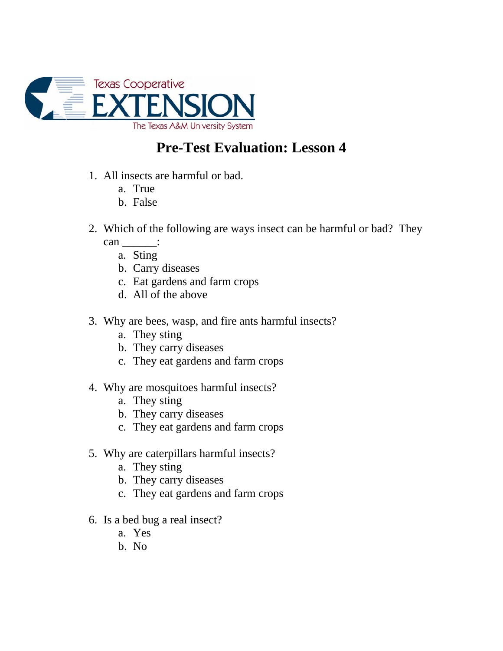

## **Pre-Test Evaluation: Lesson 4**

- 1. All insects are harmful or bad.
	- a. True
	- b. False
- 2. Which of the following are ways insect can be harmful or bad? They can :
	- a. Sting
	- b. Carry diseases
	- c. Eat gardens and farm crops
	- d. All of the above
- 3. Why are bees, wasp, and fire ants harmful insects?
	- a. They sting
	- b. They carry diseases
	- c. They eat gardens and farm crops
- 4. Why are mosquitoes harmful insects?
	- a. They sting
	- b. They carry diseases
	- c. They eat gardens and farm crops
- 5. Why are caterpillars harmful insects?
	- a. They sting
	- b. They carry diseases
	- c. They eat gardens and farm crops
- 6. Is a bed bug a real insect?
	- a. Yes
	- b. No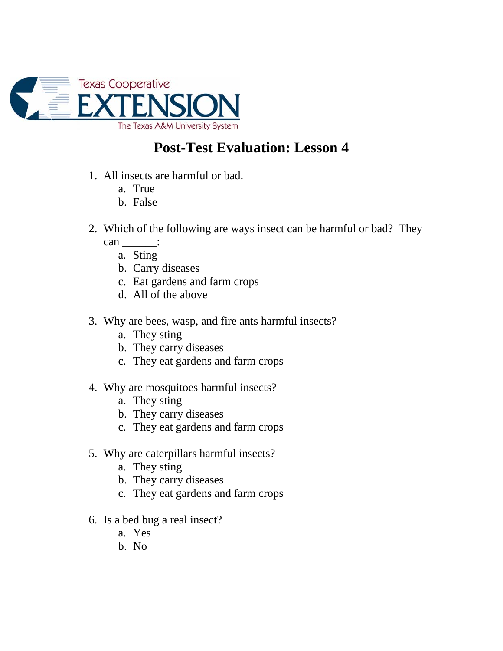

## **Post-Test Evaluation: Lesson 4**

- 1. All insects are harmful or bad.
	- a. True
	- b. False
- 2. Which of the following are ways insect can be harmful or bad? They can :
	- a. Sting
	- b. Carry diseases
	- c. Eat gardens and farm crops
	- d. All of the above
- 3. Why are bees, wasp, and fire ants harmful insects?
	- a. They sting
	- b. They carry diseases
	- c. They eat gardens and farm crops
- 4. Why are mosquitoes harmful insects?
	- a. They sting
	- b. They carry diseases
	- c. They eat gardens and farm crops
- 5. Why are caterpillars harmful insects?
	- a. They sting
	- b. They carry diseases
	- c. They eat gardens and farm crops
- 6. Is a bed bug a real insect?
	- a. Yes
	- b. No